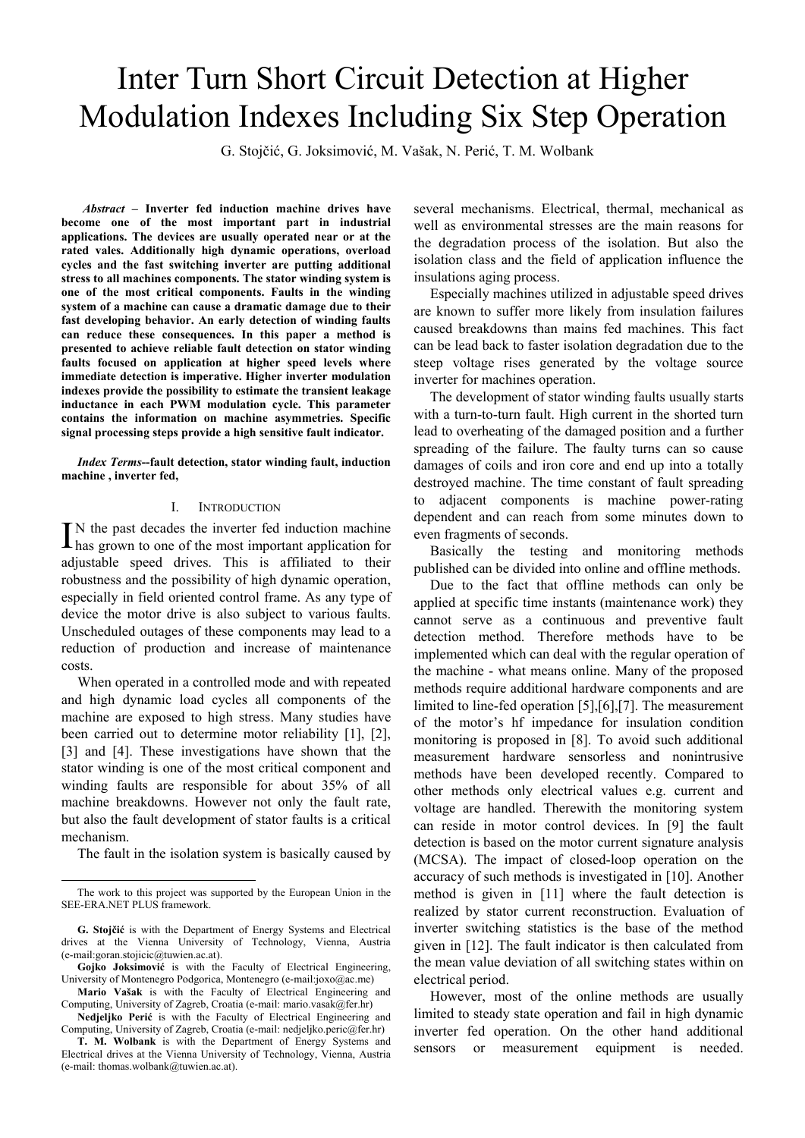# Inter Turn Short Circuit Detection at Higher Modulation Indexes Including Six Step Operation

G. Stojčić, G. Joksimović, M. Vašak, N. Perić, T. M. Wolbank

*Abstract* **– Inverter fed induction machine drives have become one of the most important part in industrial applications. The devices are usually operated near or at the rated vales. Additionally high dynamic operations, overload cycles and the fast switching inverter are putting additional stress to all machines components. The stator winding system is one of the most critical components. Faults in the winding system of a machine can cause a dramatic damage due to their fast developing behavior. An early detection of winding faults can reduce these consequences. In this paper a method is presented to achieve reliable fault detection on stator winding faults focused on application at higher speed levels where immediate detection is imperative. Higher inverter modulation indexes provide the possibility to estimate the transient leakage inductance in each PWM modulation cycle. This parameter contains the information on machine asymmetries. Specific signal processing steps provide a high sensitive fault indicator.** 

*Index Terms***--fault detection, stator winding fault, induction machine , inverter fed,** 

# I. INTRODUCTION

N the past decades the inverter fed induction machine IN the past decades the inverter fed induction machine<br>has grown to one of the most important application for adjustable speed drives. This is affiliated to their robustness and the possibility of high dynamic operation, especially in field oriented control frame. As any type of device the motor drive is also subject to various faults. Unscheduled outages of these components may lead to a reduction of production and increase of maintenance costs.

When operated in a controlled mode and with repeated and high dynamic load cycles all components of the machine are exposed to high stress. Many studies have been carried out to determine motor reliability [1], [2], [3] and [4]. These investigations have shown that the stator winding is one of the most critical component and winding faults are responsible for about 35% of all machine breakdowns. However not only the fault rate, but also the fault development of stator faults is a critical mechanism.

The fault in the isolation system is basically caused by

several mechanisms. Electrical, thermal, mechanical as well as environmental stresses are the main reasons for the degradation process of the isolation. But also the isolation class and the field of application influence the insulations aging process.

Especially machines utilized in adjustable speed drives are known to suffer more likely from insulation failures caused breakdowns than mains fed machines. This fact can be lead back to faster isolation degradation due to the steep voltage rises generated by the voltage source inverter for machines operation.

The development of stator winding faults usually starts with a turn-to-turn fault. High current in the shorted turn lead to overheating of the damaged position and a further spreading of the failure. The faulty turns can so cause damages of coils and iron core and end up into a totally destroyed machine. The time constant of fault spreading to adjacent components is machine power-rating dependent and can reach from some minutes down to even fragments of seconds.

Basically the testing and monitoring methods published can be divided into online and offline methods.

Due to the fact that offline methods can only be applied at specific time instants (maintenance work) they cannot serve as a continuous and preventive fault detection method. Therefore methods have to be implemented which can deal with the regular operation of the machine - what means online. Many of the proposed methods require additional hardware components and are limited to line-fed operation [5],[6],[7]. The measurement of the motor's hf impedance for insulation condition monitoring is proposed in [8]. To avoid such additional measurement hardware sensorless and nonintrusive methods have been developed recently. Compared to other methods only electrical values e.g. current and voltage are handled. Therewith the monitoring system can reside in motor control devices. In [9] the fault detection is based on the motor current signature analysis (MCSA). The impact of closed-loop operation on the accuracy of such methods is investigated in [10]. Another method is given in [11] where the fault detection is realized by stator current reconstruction. Evaluation of inverter switching statistics is the base of the method given in [12]. The fault indicator is then calculated from the mean value deviation of all switching states within on electrical period.

However, most of the online methods are usually limited to steady state operation and fail in high dynamic inverter fed operation. On the other hand additional sensors or measurement equipment is needed.

The work to this project was supported by the European Union in the SEE-ERA.NET PLUS framework.

**G. Stojčić** is with the Department of Energy Systems and Electrical drives at the Vienna University of Technology, Vienna, Austria (e-mail:goran.stojicic@tuwien.ac.at).

**Gojko Joksimović** is with the Faculty of Electrical Engineering, University of Montenegro Podgorica, Montenegro (e-mail:joxo@ac.me)

**Mario Vašak** is with the Faculty of Electrical Engineering and Computing, University of Zagreb, Croatia (e-mail: mario.vasak@fer.hr)

**Nedjeljko Perić** is with the Faculty of Electrical Engineering and Computing, University of Zagreb, Croatia (e-mail: nedjeljko.peric@fer.hr)

**T. M. Wolbank** is with the Department of Energy Systems and Electrical drives at the Vienna University of Technology, Vienna, Austria (e-mail: thomas.wolbank@tuwien.ac.at).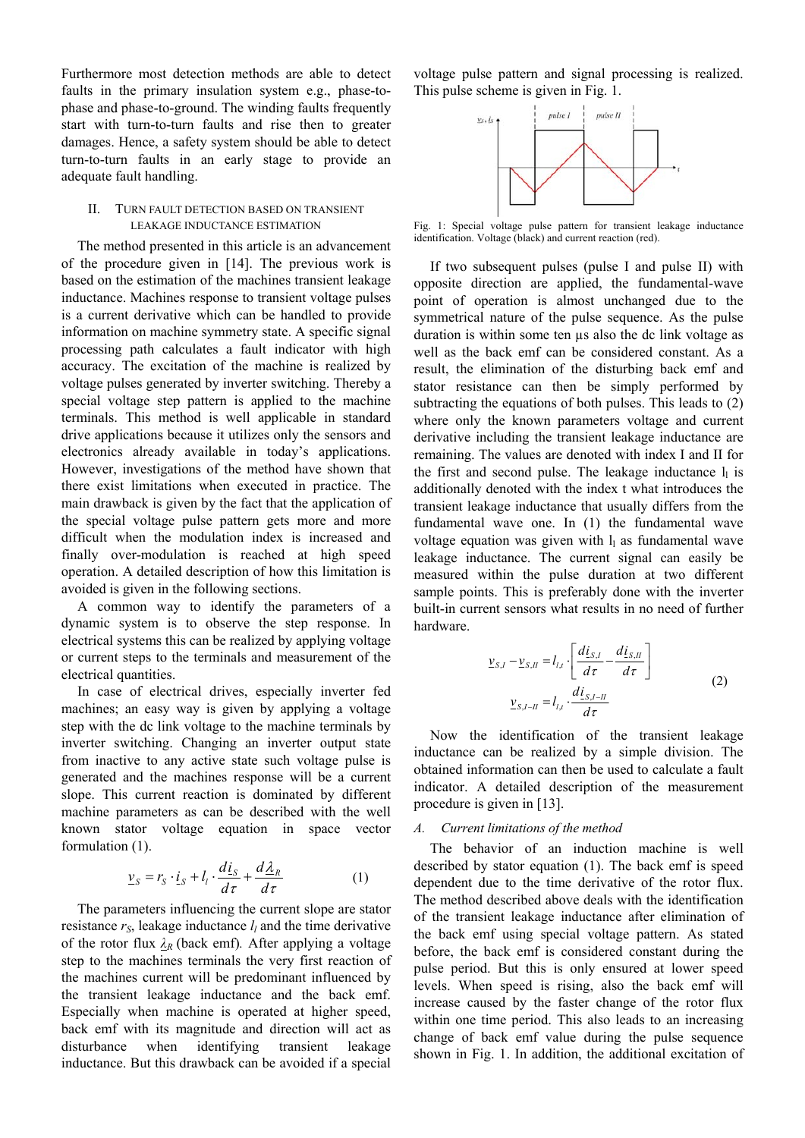Furthermore most detection methods are able to detect faults in the primary insulation system e.g., phase-tophase and phase-to-ground. The winding faults frequently start with turn-to-turn faults and rise then to greater damages. Hence, a safety system should be able to detect turn-to-turn faults in an early stage to provide an adequate fault handling.

# II. TURN FAULT DETECTION BASED ON TRANSIENT LEAKAGE INDUCTANCE ESTIMATION

The method presented in this article is an advancement of the procedure given in [14]. The previous work is based on the estimation of the machines transient leakage inductance. Machines response to transient voltage pulses is a current derivative which can be handled to provide information on machine symmetry state. A specific signal processing path calculates a fault indicator with high accuracy. The excitation of the machine is realized by voltage pulses generated by inverter switching. Thereby a special voltage step pattern is applied to the machine terminals. This method is well applicable in standard drive applications because it utilizes only the sensors and electronics already available in today's applications. However, investigations of the method have shown that there exist limitations when executed in practice. The main drawback is given by the fact that the application of the special voltage pulse pattern gets more and more difficult when the modulation index is increased and finally over-modulation is reached at high speed operation. A detailed description of how this limitation is avoided is given in the following sections.

A common way to identify the parameters of a dynamic system is to observe the step response. In electrical systems this can be realized by applying voltage or current steps to the terminals and measurement of the electrical quantities.

In case of electrical drives, especially inverter fed machines; an easy way is given by applying a voltage step with the dc link voltage to the machine terminals by inverter switching. Changing an inverter output state from inactive to any active state such voltage pulse is generated and the machines response will be a current slope. This current reaction is dominated by different machine parameters as can be described with the well known stator voltage equation in space vector formulation (1).

$$
\underline{v}_S = r_S \cdot \underline{i}_S + l_l \cdot \frac{di_S}{d\tau} + \frac{d\underline{\lambda}_R}{d\tau} \tag{1}
$$

The parameters influencing the current slope are stator resistance  $r<sub>S</sub>$ , leakage inductance  $l<sub>l</sub>$  and the time derivative of the rotor flux  $\lambda_R$  (back emf). After applying a voltage step to the machines terminals the very first reaction of the machines current will be predominant influenced by the transient leakage inductance and the back emf. Especially when machine is operated at higher speed, back emf with its magnitude and direction will act as disturbance when identifying transient leakage inductance. But this drawback can be avoided if a special

voltage pulse pattern and signal processing is realized. This pulse scheme is given in Fig. 1.



Fig. 1: Special voltage pulse pattern for transient leakage inductance identification. Voltage (black) and current reaction (red).

If two subsequent pulses (pulse I and pulse II) with opposite direction are applied, the fundamental-wave point of operation is almost unchanged due to the symmetrical nature of the pulse sequence. As the pulse duration is within some ten µs also the dc link voltage as well as the back emf can be considered constant. As a result, the elimination of the disturbing back emf and stator resistance can then be simply performed by subtracting the equations of both pulses. This leads to (2) where only the known parameters voltage and current derivative including the transient leakage inductance are remaining. The values are denoted with index I and II for the first and second pulse. The leakage inductance  $l_1$  is additionally denoted with the index t what introduces the transient leakage inductance that usually differs from the fundamental wave one. In (1) the fundamental wave voltage equation was given with  $l_1$  as fundamental wave leakage inductance. The current signal can easily be measured within the pulse duration at two different sample points. This is preferably done with the inverter built-in current sensors what results in no need of further hardware.

$$
\underline{v}_{S,I} - \underline{v}_{S,H} = l_{I,t} \cdot \left[ \frac{d\underline{i}_{S,I}}{d\tau} - \frac{d\underline{i}_{S,H}}{d\tau} \right]
$$
\n
$$
\underline{v}_{S,I-H} = l_{I,t} \cdot \frac{d\underline{i}_{S,I-H}}{d\tau}
$$
\n(2)

Now the identification of the transient leakage inductance can be realized by a simple division. The obtained information can then be used to calculate a fault indicator. A detailed description of the measurement procedure is given in [13].

# *A. Current limitations of the method*

The behavior of an induction machine is well described by stator equation (1). The back emf is speed dependent due to the time derivative of the rotor flux. The method described above deals with the identification of the transient leakage inductance after elimination of the back emf using special voltage pattern. As stated before, the back emf is considered constant during the pulse period. But this is only ensured at lower speed levels. When speed is rising, also the back emf will increase caused by the faster change of the rotor flux within one time period. This also leads to an increasing change of back emf value during the pulse sequence shown in Fig. 1. In addition, the additional excitation of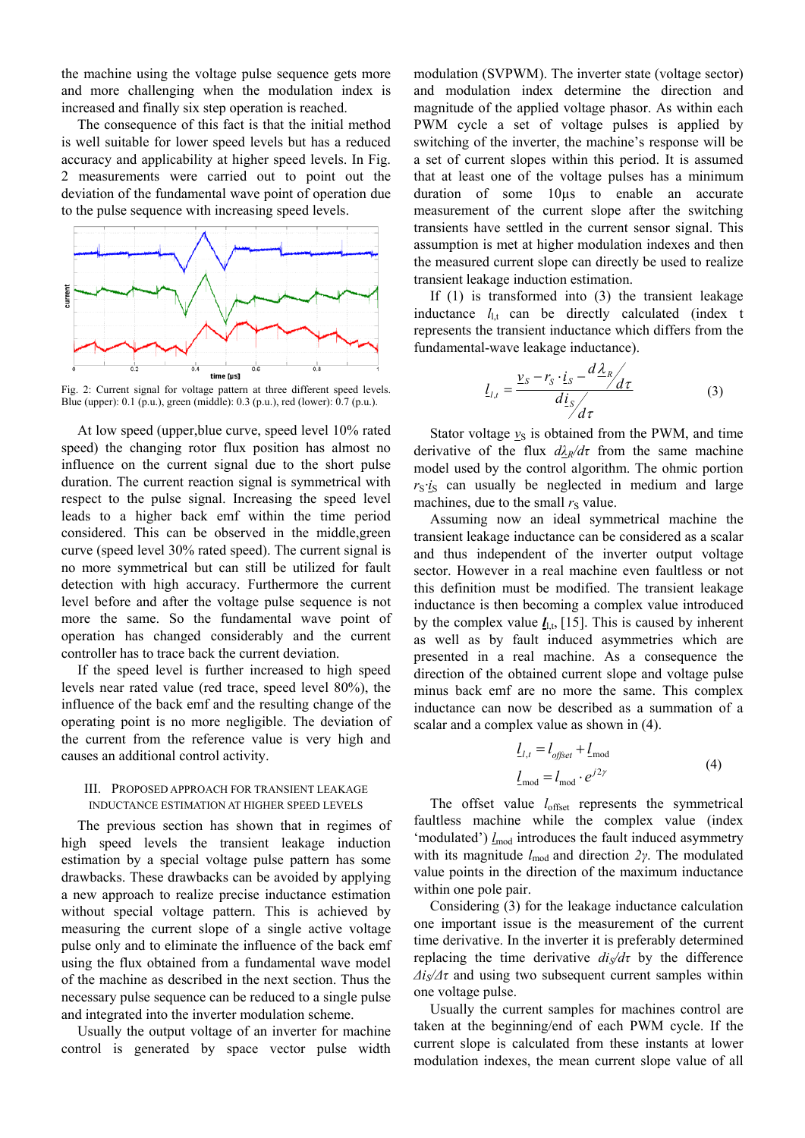the machine using the voltage pulse sequence gets more and more challenging when the modulation index is increased and finally six step operation is reached.

The consequence of this fact is that the initial method is well suitable for lower speed levels but has a reduced accuracy and applicability at higher speed levels. In Fig. 2 measurements were carried out to point out the deviation of the fundamental wave point of operation due to the pulse sequence with increasing speed levels.



Fig. 2: Current signal for voltage pattern at three different speed levels. Blue (upper): 0.1 (p.u.), green (middle): 0.3 (p.u.), red (lower): 0.7 (p.u.).

At low speed (upper,blue curve, speed level 10% rated speed) the changing rotor flux position has almost no influence on the current signal due to the short pulse duration. The current reaction signal is symmetrical with respect to the pulse signal. Increasing the speed level leads to a higher back emf within the time period considered. This can be observed in the middle,green curve (speed level 30% rated speed). The current signal is no more symmetrical but can still be utilized for fault detection with high accuracy. Furthermore the current level before and after the voltage pulse sequence is not more the same. So the fundamental wave point of operation has changed considerably and the current controller has to trace back the current deviation.

If the speed level is further increased to high speed levels near rated value (red trace, speed level 80%), the influence of the back emf and the resulting change of the operating point is no more negligible. The deviation of the current from the reference value is very high and causes an additional control activity.

# III. PROPOSED APPROACH FOR TRANSIENT LEAKAGE INDUCTANCE ESTIMATION AT HIGHER SPEED LEVELS

The previous section has shown that in regimes of high speed levels the transient leakage induction estimation by a special voltage pulse pattern has some drawbacks. These drawbacks can be avoided by applying a new approach to realize precise inductance estimation without special voltage pattern. This is achieved by measuring the current slope of a single active voltage pulse only and to eliminate the influence of the back emf using the flux obtained from a fundamental wave model of the machine as described in the next section. Thus the necessary pulse sequence can be reduced to a single pulse and integrated into the inverter modulation scheme.

Usually the output voltage of an inverter for machine control is generated by space vector pulse width modulation (SVPWM). The inverter state (voltage sector) and modulation index determine the direction and magnitude of the applied voltage phasor. As within each PWM cycle a set of voltage pulses is applied by switching of the inverter, the machine's response will be a set of current slopes within this period. It is assumed that at least one of the voltage pulses has a minimum duration of some 10µs to enable an accurate measurement of the current slope after the switching transients have settled in the current sensor signal. This assumption is met at higher modulation indexes and then the measured current slope can directly be used to realize transient leakage induction estimation.

If (1) is transformed into (3) the transient leakage inductance  $l_{l,t}$  can be directly calculated (index t represents the transient inductance which differs from the fundamental-wave leakage inductance).

$$
\underline{l}_{l,t} = \frac{\underline{v}_s - r_s \cdot \underline{i}_s - \frac{d \lambda_R}{d \tau}}{\frac{d \underline{i}_s}{d \tau}} \tag{3}
$$

Stator voltage  $v<sub>S</sub>$  is obtained from the PWM, and time derivative of the flux  $d\lambda_R/d\tau$  from the same machine model used by the control algorithm. The ohmic portion  $r<sub>S</sub>$ *i*<sub>S</sub> can usually be neglected in medium and large machines, due to the small  $r<sub>S</sub>$  value.

Assuming now an ideal symmetrical machine the transient leakage inductance can be considered as a scalar and thus independent of the inverter output voltage sector. However in a real machine even faultless or not this definition must be modified. The transient leakage inductance is then becoming a complex value introduced by the complex value  $I_{l,t}$ , [15]. This is caused by inherent as well as by fault induced asymmetries which are presented in a real machine. As a consequence the direction of the obtained current slope and voltage pulse minus back emf are no more the same. This complex inductance can now be described as a summation of a scalar and a complex value as shown in (4).

$$
\underline{l}_{l,t} = l_{offset} + \underline{l}_{\text{mod}}
$$
\n
$$
\underline{l}_{\text{mod}} = l_{\text{mod}} \cdot e^{j2\gamma}
$$
\n(4)

The offset value  $l_{offset}$  represents the symmetrical faultless machine while the complex value (index 'modulated')  $l_{\text{mod}}$  introduces the fault induced asymmetry with its magnitude *l*<sub>mod</sub> and direction 2*γ*. The modulated value points in the direction of the maximum inductance within one pole pair.

Considering (3) for the leakage inductance calculation one important issue is the measurement of the current time derivative. In the inverter it is preferably determined replacing the time derivative  $di<sub>S</sub>/d<sub>T</sub>$  by the difference  $\Delta i_S/\Delta \tau$  and using two subsequent current samples within one voltage pulse.

Usually the current samples for machines control are taken at the beginning/end of each PWM cycle. If the current slope is calculated from these instants at lower modulation indexes, the mean current slope value of all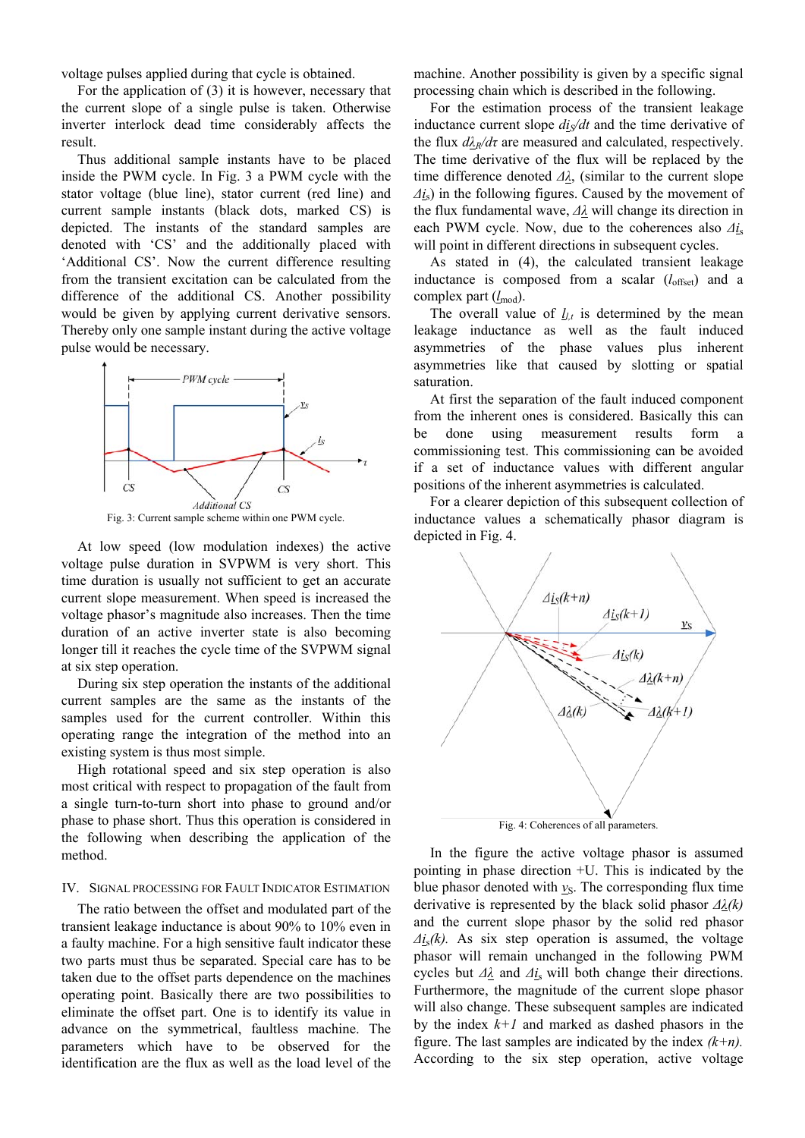voltage pulses applied during that cycle is obtained.

For the application of (3) it is however, necessary that the current slope of a single pulse is taken. Otherwise inverter interlock dead time considerably affects the result.

Thus additional sample instants have to be placed inside the PWM cycle. In Fig. 3 a PWM cycle with the stator voltage (blue line), stator current (red line) and current sample instants (black dots, marked CS) is depicted. The instants of the standard samples are denoted with 'CS' and the additionally placed with 'Additional CS'. Now the current difference resulting from the transient excitation can be calculated from the difference of the additional CS. Another possibility would be given by applying current derivative sensors. Thereby only one sample instant during the active voltage pulse would be necessary.





At low speed (low modulation indexes) the active voltage pulse duration in SVPWM is very short. This time duration is usually not sufficient to get an accurate current slope measurement. When speed is increased the voltage phasor's magnitude also increases. Then the time duration of an active inverter state is also becoming longer till it reaches the cycle time of the SVPWM signal at six step operation.

During six step operation the instants of the additional current samples are the same as the instants of the samples used for the current controller. Within this operating range the integration of the method into an existing system is thus most simple.

High rotational speed and six step operation is also most critical with respect to propagation of the fault from a single turn-to-turn short into phase to ground and/or phase to phase short. Thus this operation is considered in the following when describing the application of the method.

#### IV. SIGNAL PROCESSING FOR FAULT INDICATOR ESTIMATION

The ratio between the offset and modulated part of the transient leakage inductance is about 90% to 10% even in a faulty machine. For a high sensitive fault indicator these two parts must thus be separated. Special care has to be taken due to the offset parts dependence on the machines operating point. Basically there are two possibilities to eliminate the offset part. One is to identify its value in advance on the symmetrical, faultless machine. The parameters which have to be observed for the identification are the flux as well as the load level of the machine. Another possibility is given by a specific signal processing chain which is described in the following.

For the estimation process of the transient leakage inductance current slope  $di<sub>S</sub>/dt$  and the time derivative of the flux  $d\lambda_R/d\tau$  are measured and calculated, respectively. The time derivative of the flux will be replaced by the time difference denoted *Δλ*, (similar to the current slope *Δi*s) in the following figures. Caused by the movement of the flux fundamental wave, *Δλ* will change its direction in each PWM cycle. Now, due to the coherences also *Δi*<sup>s</sup> will point in different directions in subsequent cycles.

As stated in (4), the calculated transient leakage inductance is composed from a scalar  $(l_{\text{offset}})$  and a complex part ( $\ell_{\text{mod}}$ ).

The overall value of  $l_{l,t}$  is determined by the mean leakage inductance as well as the fault induced asymmetries of the phase values plus inherent asymmetries like that caused by slotting or spatial saturation.

At first the separation of the fault induced component from the inherent ones is considered. Basically this can be done using measurement results form a commissioning test. This commissioning can be avoided if a set of inductance values with different angular positions of the inherent asymmetries is calculated.

For a clearer depiction of this subsequent collection of inductance values a schematically phasor diagram is depicted in Fig. 4.



In the figure the active voltage phasor is assumed pointing in phase direction +U. This is indicated by the blue phasor denoted with  $v<sub>S</sub>$ . The corresponding flux time derivative is represented by the black solid phasor *Δλ(k)*  and the current slope phasor by the solid red phasor  $\Delta i_s(k)$ . As six step operation is assumed, the voltage phasor will remain unchanged in the following PWM cycles but  $\Delta\lambda$  and  $\Delta i_s$  will both change their directions. Furthermore, the magnitude of the current slope phasor will also change. These subsequent samples are indicated by the index  $k+1$  and marked as dashed phasors in the figure. The last samples are indicated by the index  $(k+n)$ . According to the six step operation, active voltage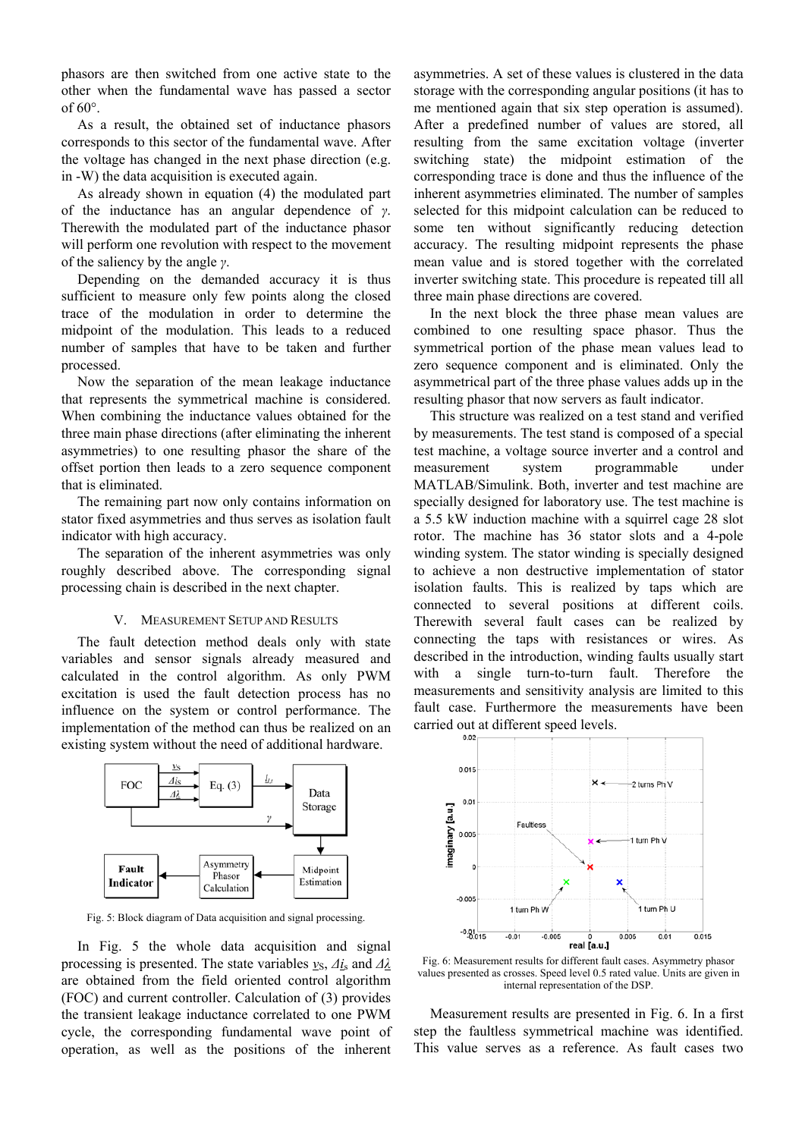phasors are then switched from one active state to the other when the fundamental wave has passed a sector of 60°.

As a result, the obtained set of inductance phasors corresponds to this sector of the fundamental wave. After the voltage has changed in the next phase direction (e.g. in -W) the data acquisition is executed again.

As already shown in equation (4) the modulated part of the inductance has an angular dependence of *γ*. Therewith the modulated part of the inductance phasor will perform one revolution with respect to the movement of the saliency by the angle *γ*.

Depending on the demanded accuracy it is thus sufficient to measure only few points along the closed trace of the modulation in order to determine the midpoint of the modulation. This leads to a reduced number of samples that have to be taken and further processed.

Now the separation of the mean leakage inductance that represents the symmetrical machine is considered. When combining the inductance values obtained for the three main phase directions (after eliminating the inherent asymmetries) to one resulting phasor the share of the offset portion then leads to a zero sequence component that is eliminated.

The remaining part now only contains information on stator fixed asymmetries and thus serves as isolation fault indicator with high accuracy.

The separation of the inherent asymmetries was only roughly described above. The corresponding signal processing chain is described in the next chapter.

# V. MEASUREMENT SETUP AND RESULTS

The fault detection method deals only with state variables and sensor signals already measured and calculated in the control algorithm. As only PWM excitation is used the fault detection process has no influence on the system or control performance. The implementation of the method can thus be realized on an existing system without the need of additional hardware.



Fig. 5: Block diagram of Data acquisition and signal processing.

In Fig. 5 the whole data acquisition and signal processing is presented. The state variables  $v_s$ ,  $\Delta i_s$  and  $\Delta \lambda$ are obtained from the field oriented control algorithm (FOC) and current controller. Calculation of (3) provides the transient leakage inductance correlated to one PWM cycle, the corresponding fundamental wave point of operation, as well as the positions of the inherent

asymmetries. A set of these values is clustered in the data storage with the corresponding angular positions (it has to me mentioned again that six step operation is assumed). After a predefined number of values are stored, all resulting from the same excitation voltage (inverter switching state) the midpoint estimation of the corresponding trace is done and thus the influence of the inherent asymmetries eliminated. The number of samples selected for this midpoint calculation can be reduced to some ten without significantly reducing detection accuracy. The resulting midpoint represents the phase mean value and is stored together with the correlated inverter switching state. This procedure is repeated till all three main phase directions are covered.

In the next block the three phase mean values are combined to one resulting space phasor. Thus the symmetrical portion of the phase mean values lead to zero sequence component and is eliminated. Only the asymmetrical part of the three phase values adds up in the resulting phasor that now servers as fault indicator.

This structure was realized on a test stand and verified by measurements. The test stand is composed of a special test machine, a voltage source inverter and a control and measurement system programmable under MATLAB/Simulink. Both, inverter and test machine are specially designed for laboratory use. The test machine is a 5.5 kW induction machine with a squirrel cage 28 slot rotor. The machine has 36 stator slots and a 4-pole winding system. The stator winding is specially designed to achieve a non destructive implementation of stator isolation faults. This is realized by taps which are connected to several positions at different coils. Therewith several fault cases can be realized by connecting the taps with resistances or wires. As described in the introduction, winding faults usually start with a single turn-to-turn fault. Therefore the measurements and sensitivity analysis are limited to this fault case. Furthermore the measurements have been carried out at different speed levels.



Fig. 6: Measurement results for different fault cases. Asymmetry phasor values presented as crosses. Speed level 0.5 rated value. Units are given in internal representation of the DSP.

Measurement results are presented in Fig. 6. In a first step the faultless symmetrical machine was identified. This value serves as a reference. As fault cases two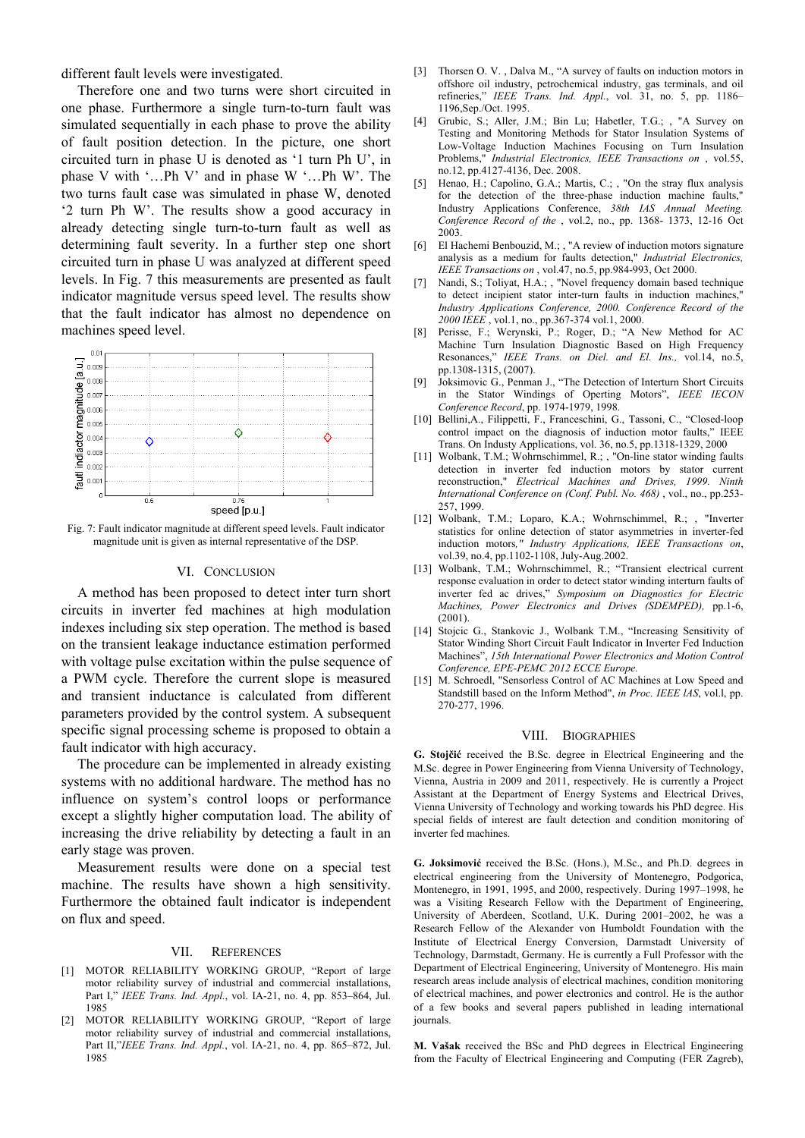different fault levels were investigated.

Therefore one and two turns were short circuited in one phase. Furthermore a single turn-to-turn fault was simulated sequentially in each phase to prove the ability of fault position detection. In the picture, one short circuited turn in phase U is denoted as '1 turn Ph U', in phase V with '…Ph V' and in phase W '…Ph W'. The two turns fault case was simulated in phase W, denoted '2 turn Ph W'. The results show a good accuracy in already detecting single turn-to-turn fault as well as determining fault severity. In a further step one short circuited turn in phase U was analyzed at different speed levels. In Fig. 7 this measurements are presented as fault indicator magnitude versus speed level. The results show that the fault indicator has almost no dependence on machines speed level.



Fig. 7: Fault indicator magnitude at different speed levels. Fault indicator magnitude unit is given as internal representative of the DSP.

#### VI. CONCLUSION

A method has been proposed to detect inter turn short circuits in inverter fed machines at high modulation indexes including six step operation. The method is based on the transient leakage inductance estimation performed with voltage pulse excitation within the pulse sequence of a PWM cycle. Therefore the current slope is measured and transient inductance is calculated from different parameters provided by the control system. A subsequent specific signal processing scheme is proposed to obtain a fault indicator with high accuracy.

The procedure can be implemented in already existing systems with no additional hardware. The method has no influence on system's control loops or performance except a slightly higher computation load. The ability of increasing the drive reliability by detecting a fault in an early stage was proven.

Measurement results were done on a special test machine. The results have shown a high sensitivity. Furthermore the obtained fault indicator is independent on flux and speed.

# VII. REFERENCES

- [1] MOTOR RELIABILITY WORKING GROUP, "Report of large motor reliability survey of industrial and commercial installations, Part I," *IEEE Trans. Ind. Appl.*, vol. IA-21, no. 4, pp. 853–864, Jul. 1985
- [2] MOTOR RELIABILITY WORKING GROUP, "Report of large motor reliability survey of industrial and commercial installations, Part II,"*IEEE Trans. Ind. Appl.*, vol. IA-21, no. 4, pp. 865–872, Jul. 1985
- [3] Thorsen O. V., Dalva M., "A survey of faults on induction motors in offshore oil industry, petrochemical industry, gas terminals, and oil refineries," *IEEE Trans. Ind. Appl.*, vol. 31, no. 5, pp. 1186– 1196,Sep./Oct. 1995.
- [4] Grubic, S.; Aller, J.M.; Bin Lu; Habetler, T.G.; , "A Survey on Testing and Monitoring Methods for Stator Insulation Systems of Low-Voltage Induction Machines Focusing on Turn Insulation Problems," *Industrial Electronics, IEEE Transactions on* , vol.55, no.12, pp.4127-4136, Dec. 2008.
- [5] Henao, H.; Capolino, G.A.; Martis, C.; , "On the stray flux analysis for the detection of the three-phase induction machine faults," Industry Applications Conference, *38th IAS Annual Meeting. Conference Record of the* , vol.2, no., pp. 1368- 1373, 12-16 Oct 2003.
- [6] El Hachemi Benbouzid, M.; , "A review of induction motors signature analysis as a medium for faults detection," *Industrial Electronics, IEEE Transactions on* , vol.47, no.5, pp.984-993, Oct 2000.
- [7] Nandi, S.; Toliyat, H.A.; , "Novel frequency domain based technique to detect incipient stator inter-turn faults in induction machines, *Industry Applications Conference, 2000. Conference Record of the 2000 IEEE* , vol.1, no., pp.367-374 vol.1, 2000.
- [8] Perisse, F.; Werynski, P.; Roger, D.; "A New Method for AC Machine Turn Insulation Diagnostic Based on High Frequency Resonances," *IEEE Trans. on Diel. and El. Ins.,* vol.14, no.5, pp.1308-1315, (2007).
- [9] Joksimovic G., Penman J., "The Detection of Interturn Short Circuits in the Stator Windings of Operting Motors", *IEEE IECON Conference Record*, pp. 1974-1979, 1998.
- [10] Bellini,A., Filippetti, F., Franceschini, G., Tassoni, C., "Closed-loop control impact on the diagnosis of induction motor faults," IEEE Trans. On Industy Applications, vol. 36, no.5, pp.1318-1329, 2000
- [11] Wolbank, T.M.; Wohrnschimmel, R.; , "On-line stator winding faults detection in inverter fed induction motors by stator current reconstruction," *Electrical Machines and Drives, 1999. Ninth International Conference on (Conf. Publ. No. 468)* , vol., no., pp.253- 257, 1999.
- [12] Wolbank, T.M.; Loparo, K.A.; Wohrnschimmel, R.; , "Inverter statistics for online detection of stator asymmetries in inverter-fed induction motors*," Industry Applications, IEEE Transactions on*, vol.39, no.4, pp.1102-1108, July-Aug.2002.
- [13] Wolbank, T.M.; Wohrnschimmel, R.; "Transient electrical current response evaluation in order to detect stator winding interturn faults of inverter fed ac drives," *Symposium on Diagnostics for Electric Machines, Power Electronics and Drives (SDEMPED),* pp.1-6, (2001).
- [14] Stojcic G., Stankovic J., Wolbank T.M., "Increasing Sensitivity of Stator Winding Short Circuit Fault Indicator in Inverter Fed Induction Machines", *15th International Power Electronics and Motion Control Conference, EPE-PEMC 2012 ECCE Europe.*
- [15] M. Schroedl, "Sensorless Control of AC Machines at Low Speed and Standstill based on the Inform Method", *in Proc. IEEE lAS*, vol.l, pp. 270-277, 1996.

# VIII. BIOGRAPHIES

**G. Stojčić** received the B.Sc. degree in Electrical Engineering and the M.Sc. degree in Power Engineering from Vienna University of Technology, Vienna, Austria in 2009 and 2011, respectively. He is currently a Project Assistant at the Department of Energy Systems and Electrical Drives, Vienna University of Technology and working towards his PhD degree. His special fields of interest are fault detection and condition monitoring of inverter fed machines.

**G. Joksimović** received the B.Sc. (Hons.), M.Sc., and Ph.D. degrees in electrical engineering from the University of Montenegro, Podgorica, Montenegro, in 1991, 1995, and 2000, respectively. During 1997–1998, he was a Visiting Research Fellow with the Department of Engineering, University of Aberdeen, Scotland, U.K. During 2001–2002, he was a Research Fellow of the Alexander von Humboldt Foundation with the Institute of Electrical Energy Conversion, Darmstadt University of Technology, Darmstadt, Germany. He is currently a Full Professor with the Department of Electrical Engineering, University of Montenegro. His main research areas include analysis of electrical machines, condition monitoring of electrical machines, and power electronics and control. He is the author of a few books and several papers published in leading international journals.

**M. Vašak** received the BSc and PhD degrees in Electrical Engineering from the Faculty of Electrical Engineering and Computing (FER Zagreb),